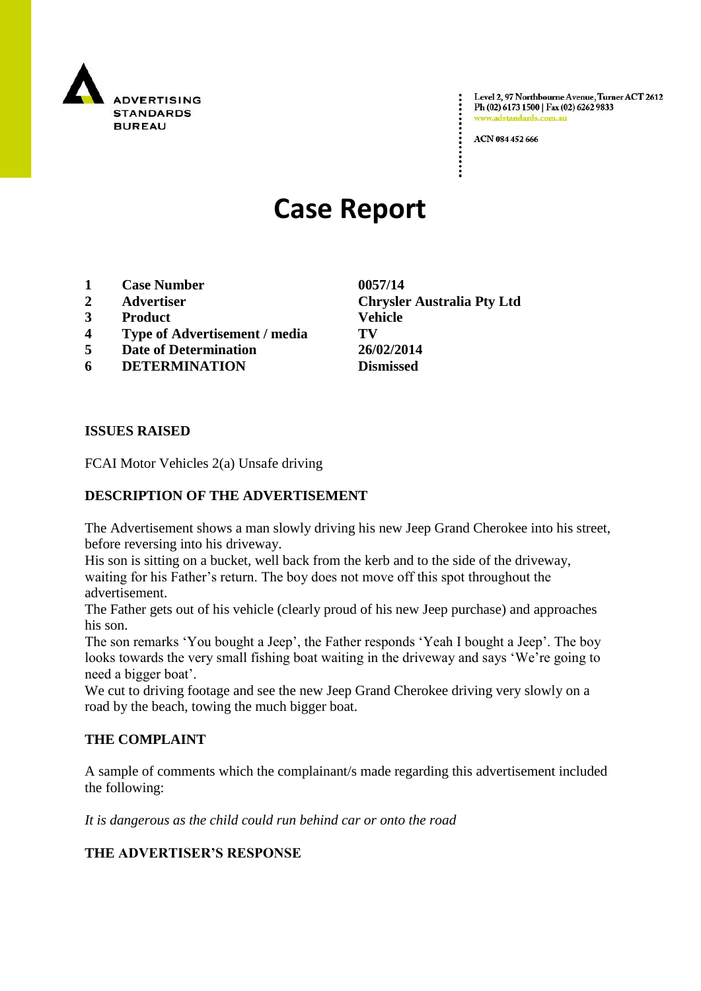

Level 2, 97 Northbourne Avenue, Turner ACT 2612 Ph (02) 6173 1500 | Fax (02) 6262 9833 www.adstandards.com.a

ACN 084 452 666

## **Case Report**

- **1 Case Number 0057/14**
- 
- **3 Product Vehicle**
- **4 Type of Advertisement / media TV**
- **5 Date of Determination 26/02/2014**
- **6 DETERMINATION Dismissed**

**ISSUES RAISED**

FCAI Motor Vehicles 2(a) Unsafe driving

## **DESCRIPTION OF THE ADVERTISEMENT**

The Advertisement shows a man slowly driving his new Jeep Grand Cherokee into his street, before reversing into his driveway.

His son is sitting on a bucket, well back from the kerb and to the side of the driveway, waiting for his Father"s return. The boy does not move off this spot throughout the advertisement.

The Father gets out of his vehicle (clearly proud of his new Jeep purchase) and approaches his son.

The son remarks "You bought a Jeep", the Father responds "Yeah I bought a Jeep". The boy looks towards the very small fishing boat waiting in the driveway and says 'We're going to need a bigger boat".

We cut to driving footage and see the new Jeep Grand Cherokee driving very slowly on a road by the beach, towing the much bigger boat.

## **THE COMPLAINT**

A sample of comments which the complainant/s made regarding this advertisement included the following:

*It is dangerous as the child could run behind car or onto the road* 

**THE ADVERTISER'S RESPONSE**

**2 Advertiser Chrysler Australia Pty Ltd**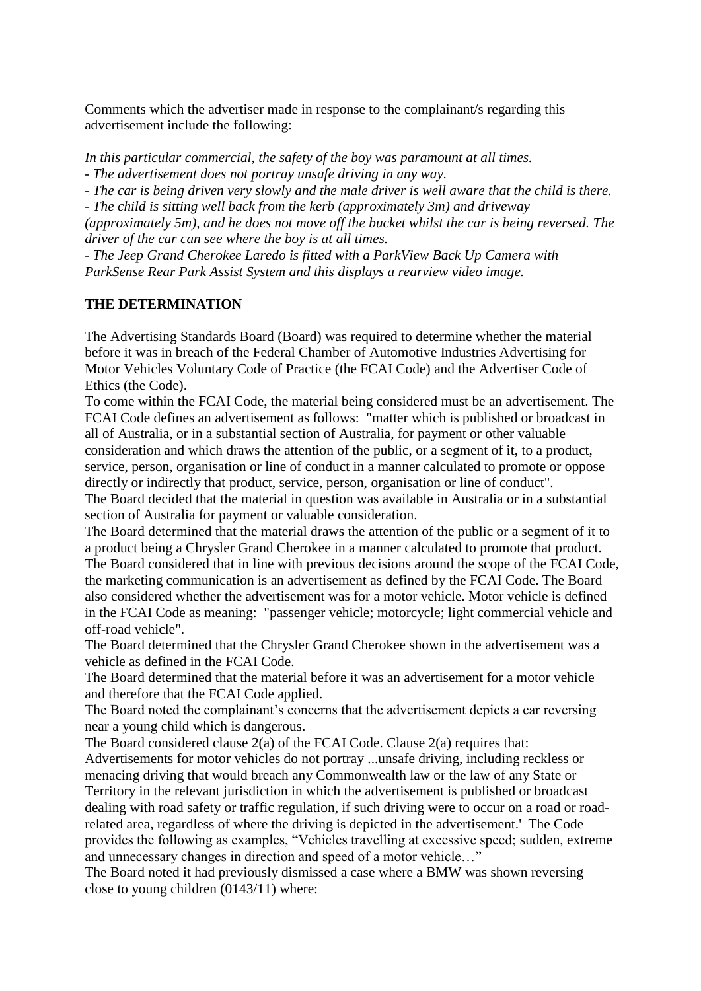Comments which the advertiser made in response to the complainant/s regarding this advertisement include the following:

*In this particular commercial, the safety of the boy was paramount at all times.*

*- The advertisement does not portray unsafe driving in any way.*

*- The car is being driven very slowly and the male driver is well aware that the child is there.*

*- The child is sitting well back from the kerb (approximately 3m) and driveway* 

*(approximately 5m), and he does not move off the bucket whilst the car is being reversed. The driver of the car can see where the boy is at all times.*

*- The Jeep Grand Cherokee Laredo is fitted with a ParkView Back Up Camera with ParkSense Rear Park Assist System and this displays a rearview video image.*

## **THE DETERMINATION**

The Advertising Standards Board (Board) was required to determine whether the material before it was in breach of the Federal Chamber of Automotive Industries Advertising for Motor Vehicles Voluntary Code of Practice (the FCAI Code) and the Advertiser Code of Ethics (the Code).

To come within the FCAI Code, the material being considered must be an advertisement. The FCAI Code defines an advertisement as follows: "matter which is published or broadcast in all of Australia, or in a substantial section of Australia, for payment or other valuable consideration and which draws the attention of the public, or a segment of it, to a product, service, person, organisation or line of conduct in a manner calculated to promote or oppose directly or indirectly that product, service, person, organisation or line of conduct". The Board decided that the material in question was available in Australia or in a substantial

section of Australia for payment or valuable consideration. The Board determined that the material draws the attention of the public or a segment of it to

a product being a Chrysler Grand Cherokee in a manner calculated to promote that product. The Board considered that in line with previous decisions around the scope of the FCAI Code, the marketing communication is an advertisement as defined by the FCAI Code. The Board also considered whether the advertisement was for a motor vehicle. Motor vehicle is defined in the FCAI Code as meaning: "passenger vehicle; motorcycle; light commercial vehicle and off-road vehicle".

The Board determined that the Chrysler Grand Cherokee shown in the advertisement was a vehicle as defined in the FCAI Code.

The Board determined that the material before it was an advertisement for a motor vehicle and therefore that the FCAI Code applied.

The Board noted the complainant's concerns that the advertisement depicts a car reversing near a young child which is dangerous.

The Board considered clause 2(a) of the FCAI Code. Clause 2(a) requires that:

Advertisements for motor vehicles do not portray ...unsafe driving, including reckless or menacing driving that would breach any Commonwealth law or the law of any State or Territory in the relevant jurisdiction in which the advertisement is published or broadcast dealing with road safety or traffic regulation, if such driving were to occur on a road or roadrelated area, regardless of where the driving is depicted in the advertisement.' The Code provides the following as examples, "Vehicles travelling at excessive speed; sudden, extreme and unnecessary changes in direction and speed of a motor vehicle…"

The Board noted it had previously dismissed a case where a BMW was shown reversing close to young children (0143/11) where: